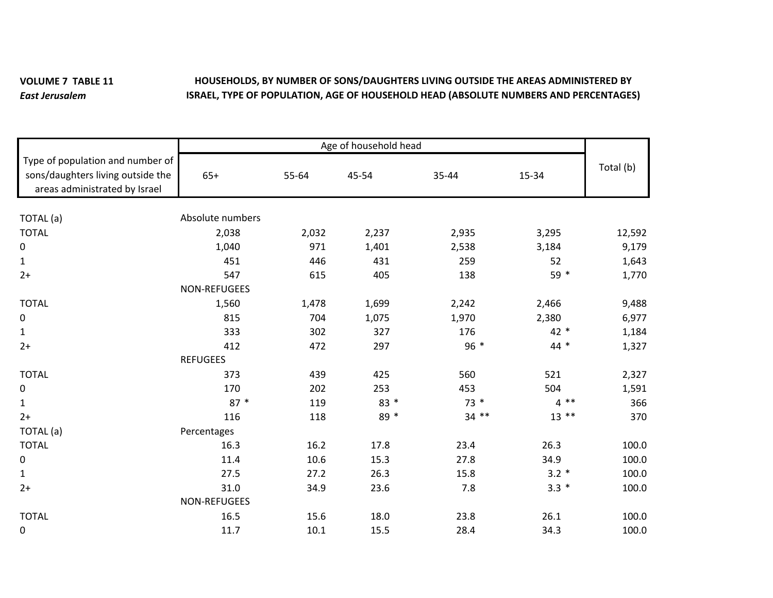## **VOLUME 7 TABLE 11** *East Jerusalem***HOUSEHOLDS, BY NUMBER OF SONS/DAUGHTERS LIVING OUTSIDE THE AREAS ADMINISTERED BY ISRAEL, TYPE OF POPULATION, AGE OF HOUSEHOLD HEAD (ABSOLUTE NUMBERS AND PERCENTAGES)**

|                                                                                                        | Age of household head |       |       |         |         |           |
|--------------------------------------------------------------------------------------------------------|-----------------------|-------|-------|---------|---------|-----------|
| Type of population and number of<br>sons/daughters living outside the<br>areas administrated by Israel | $65+$                 | 55-64 | 45-54 | 35-44   | 15-34   | Total (b) |
|                                                                                                        | Absolute numbers      |       |       |         |         |           |
| TOTAL (a)                                                                                              |                       |       |       |         |         |           |
| <b>TOTAL</b>                                                                                           | 2,038                 | 2,032 | 2,237 | 2,935   | 3,295   | 12,592    |
| $\pmb{0}$                                                                                              | 1,040                 | 971   | 1,401 | 2,538   | 3,184   | 9,179     |
| $\mathbf{1}$                                                                                           | 451                   | 446   | 431   | 259     | 52      | 1,643     |
| $2+$                                                                                                   | 547                   | 615   | 405   | 138     | 59 *    | 1,770     |
|                                                                                                        | NON-REFUGEES          |       |       |         |         |           |
| <b>TOTAL</b>                                                                                           | 1,560                 | 1,478 | 1,699 | 2,242   | 2,466   | 9,488     |
| $\pmb{0}$                                                                                              | 815                   | 704   | 1,075 | 1,970   | 2,380   | 6,977     |
| $\mathbf{1}$                                                                                           | 333                   | 302   | 327   | 176     | 42 *    | 1,184     |
| $2+$                                                                                                   | 412                   | 472   | 297   | 96 *    | 44 *    | 1,327     |
|                                                                                                        | <b>REFUGEES</b>       |       |       |         |         |           |
| <b>TOTAL</b>                                                                                           | 373                   | 439   | 425   | 560     | 521     | 2,327     |
| $\pmb{0}$                                                                                              | 170                   | 202   | 253   | 453     | 504     | 1,591     |
| $\mathbf{1}$                                                                                           | $87 *$                | 119   | 83 *  | $73*$   | $4 * *$ | 366       |
| $2+$                                                                                                   | 116                   | 118   | 89 *  | $34$ ** | $13$ ** | 370       |
| TOTAL (a)                                                                                              | Percentages           |       |       |         |         |           |
| <b>TOTAL</b>                                                                                           | 16.3                  | 16.2  | 17.8  | 23.4    | 26.3    | 100.0     |
| $\mathbf 0$                                                                                            | 11.4                  | 10.6  | 15.3  | 27.8    | 34.9    | 100.0     |
| $\mathbf{1}$                                                                                           | 27.5                  | 27.2  | 26.3  | 15.8    | $3.2 *$ | 100.0     |
| $2+$                                                                                                   | 31.0                  | 34.9  | 23.6  | 7.8     | $3.3 *$ | 100.0     |
|                                                                                                        | NON-REFUGEES          |       |       |         |         |           |
| <b>TOTAL</b>                                                                                           | 16.5                  | 15.6  | 18.0  | 23.8    | 26.1    | 100.0     |
| 0                                                                                                      | 11.7                  | 10.1  | 15.5  | 28.4    | 34.3    | 100.0     |